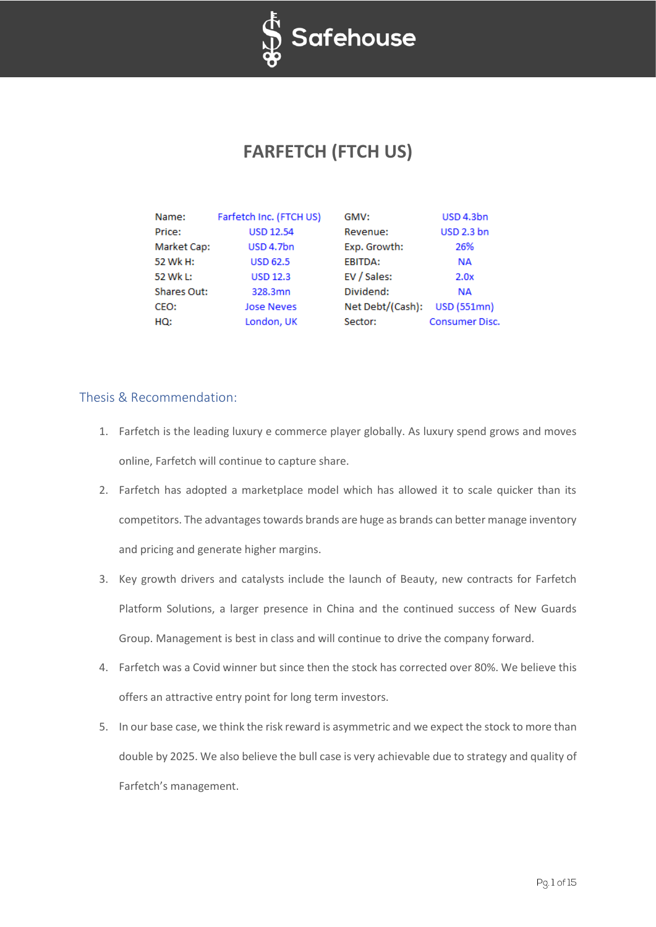

# **FARFETCH (FTCH US)**

| Name:       | Farfetch Inc. (FTCH US) | GMV:             | USD 4.3bn             |
|-------------|-------------------------|------------------|-----------------------|
| Price:      | <b>USD 12.54</b>        | Revenue:         | <b>USD 2.3 bn</b>     |
| Market Cap: | USD 4.7bn               | Exp. Growth:     | 26%                   |
| 52 Wk H:    | <b>USD 62.5</b>         | EBITDA:          | <b>NA</b>             |
| 52 Wk L:    | <b>USD 12.3</b>         | EV / Sales:      | 2.0x                  |
| Shares Out: | 328.3mn                 | Dividend:        | <b>NA</b>             |
| CEO:        | <b>Jose Neves</b>       | Net Debt/(Cash): | <b>USD (551mn)</b>    |
| HQ:         | London, UK              | Sector:          | <b>Consumer Disc.</b> |

## Thesis & Recommendation:

- 1. Farfetch is the leading luxury e commerce player globally. As luxury spend grows and moves online, Farfetch will continue to capture share.
- 2. Farfetch has adopted a marketplace model which has allowed it to scale quicker than its competitors. The advantages towards brands are huge as brands can better manage inventory and pricing and generate higher margins.
- 3. Key growth drivers and catalysts include the launch of Beauty, new contracts for Farfetch Platform Solutions, a larger presence in China and the continued success of New Guards Group. Management is best in class and will continue to drive the company forward.
- 4. Farfetch was a Covid winner but since then the stock has corrected over 80%. We believe this offers an attractive entry point for long term investors.
- 5. In our base case, we think the risk reward is asymmetric and we expect the stock to more than double by 2025. We also believe the bull case is very achievable due to strategy and quality of Farfetch's management.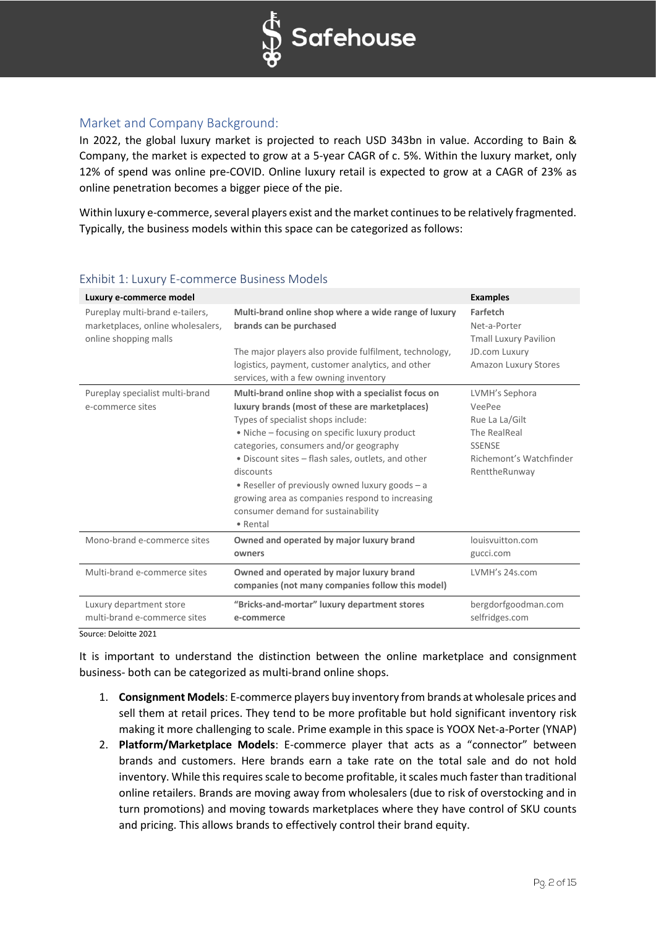

## Market and Company Background:

In 2022, the global luxury market is projected to reach USD 343bn in value. According to Bain & Company, the market is expected to grow at a 5-year CAGR of c. 5%. Within the luxury market, only 12% of spend was online pre-COVID. Online luxury retail is expected to grow at a CAGR of 23% as online penetration becomes a bigger piece of the pie.

Within luxury e-commerce, several players exist and the market continues to be relatively fragmented. Typically, the business models within this space can be categorized as follows:

| Luxury e-commerce model                                                                       |                                                                                                                                                                                                                                                                                                                                                                                                                                                                  | <b>Examples</b>                                                                                                         |
|-----------------------------------------------------------------------------------------------|------------------------------------------------------------------------------------------------------------------------------------------------------------------------------------------------------------------------------------------------------------------------------------------------------------------------------------------------------------------------------------------------------------------------------------------------------------------|-------------------------------------------------------------------------------------------------------------------------|
| Pureplay multi-brand e-tailers,<br>marketplaces, online wholesalers,<br>online shopping malls | Multi-brand online shop where a wide range of luxury<br>brands can be purchased<br>The major players also provide fulfilment, technology,                                                                                                                                                                                                                                                                                                                        | Farfetch<br>Net-a-Porter<br><b>Tmall Luxury Pavilion</b><br><b>JD.com Luxury</b>                                        |
|                                                                                               | logistics, payment, customer analytics, and other<br>services, with a few owning inventory                                                                                                                                                                                                                                                                                                                                                                       | <b>Amazon Luxury Stores</b>                                                                                             |
| Pureplay specialist multi-brand<br>e-commerce sites                                           | Multi-brand online shop with a specialist focus on<br>luxury brands (most of these are marketplaces)<br>Types of specialist shops include:<br>• Niche – focusing on specific luxury product<br>categories, consumers and/or geography<br>• Discount sites – flash sales, outlets, and other<br>discounts<br>• Reseller of previously owned luxury goods - a<br>growing area as companies respond to increasing<br>consumer demand for sustainability<br>• Rental | LVMH's Sephora<br>VeePee<br>Rue La La/Gilt<br>The RealReal<br><b>SSENSE</b><br>Richemont's Watchfinder<br>RenttheRunway |
| Mono-brand e-commerce sites                                                                   | Owned and operated by major luxury brand<br>owners                                                                                                                                                                                                                                                                                                                                                                                                               | louisvuitton.com<br>gucci.com                                                                                           |
| Multi-brand e-commerce sites                                                                  | Owned and operated by major luxury brand<br>companies (not many companies follow this model)                                                                                                                                                                                                                                                                                                                                                                     | LVMH's 24s.com                                                                                                          |
| Luxury department store<br>multi-brand e-commerce sites                                       | "Bricks-and-mortar" luxury department stores<br>e-commerce                                                                                                                                                                                                                                                                                                                                                                                                       | bergdorfgoodman.com<br>selfridges.com                                                                                   |

## Exhibit 1: Luxury E-commerce Business Models

Source: Deloitte 2021

It is important to understand the distinction between the online marketplace and consignment business- both can be categorized as multi-brand online shops.

- 1. **Consignment Models**: E-commerce players buy inventory from brands at wholesale prices and sell them at retail prices. They tend to be more profitable but hold significant inventory risk making it more challenging to scale. Prime example in this space is YOOX Net-a-Porter (YNAP)
- 2. **Platform/Marketplace Models**: E-commerce player that acts as a "connector" between brands and customers. Here brands earn a take rate on the total sale and do not hold inventory. While this requires scale to become profitable, it scales much faster than traditional online retailers. Brands are moving away from wholesalers (due to risk of overstocking and in turn promotions) and moving towards marketplaces where they have control of SKU counts and pricing. This allows brands to effectively control their brand equity.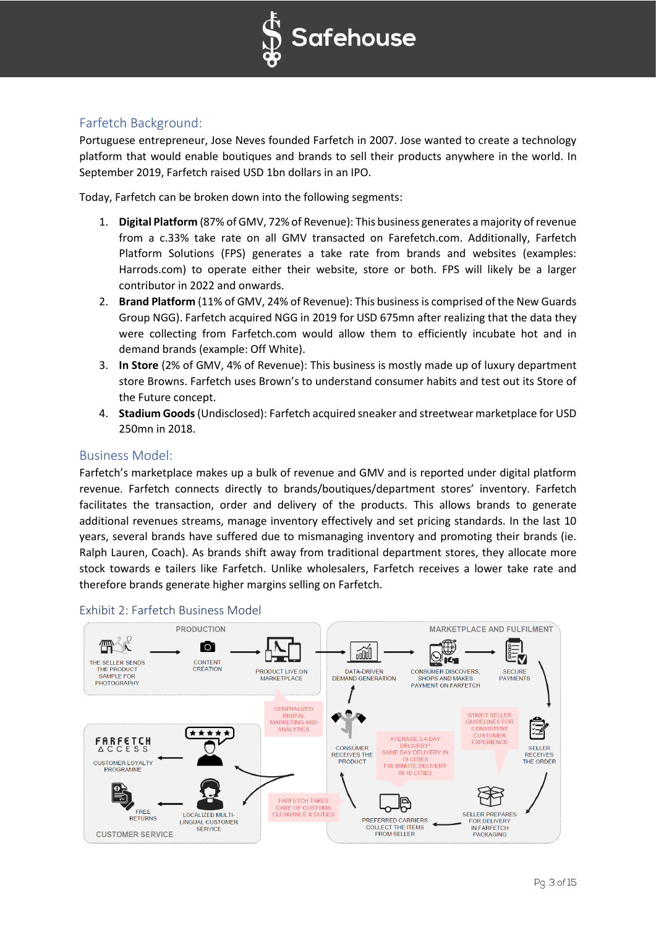

## Farfetch Background:

Portuguese entrepreneur, Jose Neves founded Farfetch in 2007. Jose wanted to create a technology platform that would enable boutiques and brands to sell their products anywhere in the world. In September 2019, Farfetch raised USD 1bn dollars in an IPO.

Today, Farfetch can be broken down into the following segments:

- 1. **Digital Platform** (87% of GMV, 72% of Revenue): This business generates a majority of revenue from a c.33% take rate on all GMV transacted on Farefetch.com. Additionally, Farfetch Platform Solutions (FPS) generates a take rate from brands and websites (examples: Harrods.com) to operate either their website, store or both. FPS will likely be a larger contributor in 2022 and onwards.
- 2. **Brand Platform** (11% of GMV, 24% of Revenue): This business is comprised of the New Guards Group NGG). Farfetch acquired NGG in 2019 for USD 675mn after realizing that the data they were collecting from Farfetch.com would allow them to efficiently incubate hot and in demand brands (example: Off White).
- 3. **In Store** (2% of GMV, 4% of Revenue): This business is mostly made up of luxury department store Browns. Farfetch uses Brown's to understand consumer habits and test out its Store of the Future concept.
- 4. **Stadium Goods**(Undisclosed): Farfetch acquired sneaker and streetwear marketplace for USD 250mn in 2018.

## Business Model:

Farfetch's marketplace makes up a bulk of revenue and GMV and is reported under digital platform revenue. Farfetch connects directly to brands/boutiques/department stores' inventory. Farfetch facilitates the transaction, order and delivery of the products. This allows brands to generate additional revenues streams, manage inventory effectively and set pricing standards. In the last 10 years, several brands have suffered due to mismanaging inventory and promoting their brands (ie. Ralph Lauren, Coach). As brands shift away from traditional department stores, they allocate more stock towards e tailers like Farfetch. Unlike wholesalers, Farfetch receives a lower take rate and therefore brands generate higher margins selling on Farfetch.



## Exhibit 2: Farfetch Business Model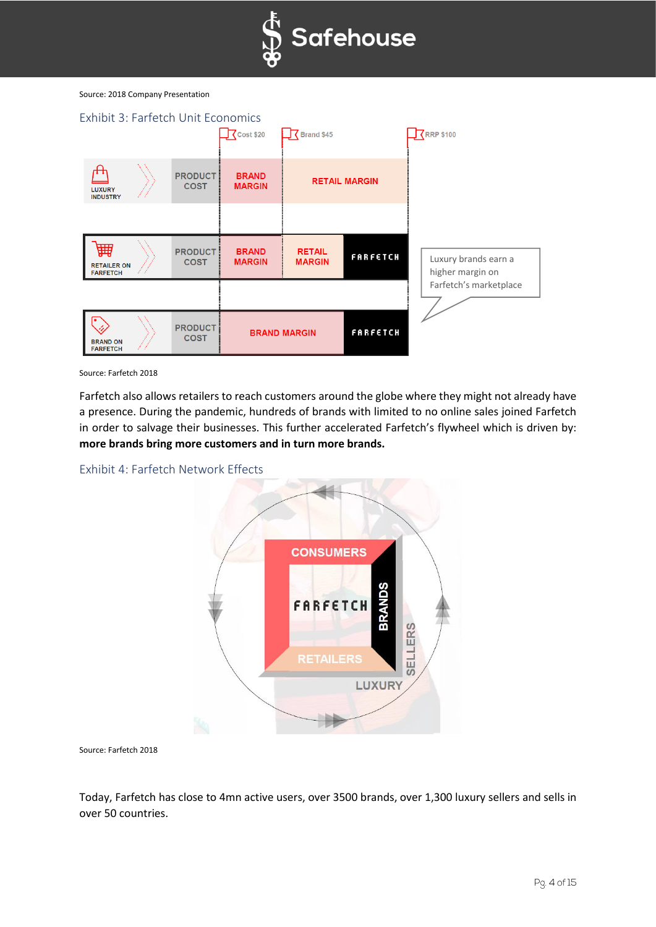

#### Source: 2018 Company Presentation



Source: Farfetch 2018

Farfetch also allows retailers to reach customers around the globe where they might not already have a presence. During the pandemic, hundreds of brands with limited to no online sales joined Farfetch in order to salvage their businesses. This further accelerated Farfetch's flywheel which is driven by: **more brands bring more customers and in turn more brands.**





Source: Farfetch 2018

Today, Farfetch has close to 4mn active users, over 3500 brands, over 1,300 luxury sellers and sells in over 50 countries.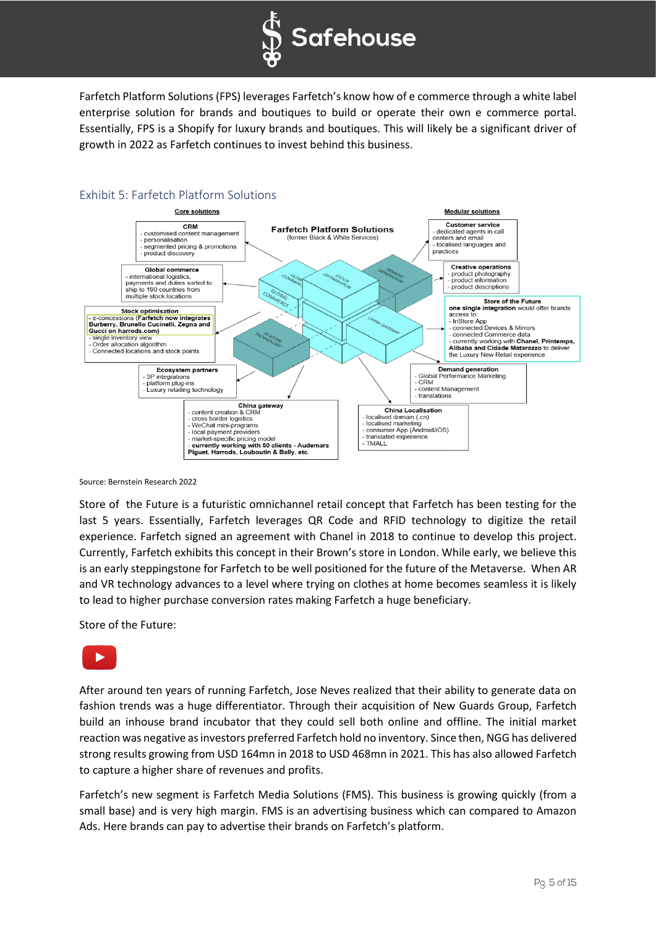

Farfetch Platform Solutions (FPS) leverages Farfetch's know how of e commerce through a white label enterprise solution for brands and boutiques to build or operate their own e commerce portal. Essentially, FPS is a Shopify for luxury brands and boutiques. This will likely be a significant driver of growth in 2022 as Farfetch continues to invest behind this business.



## Exhibit 5: Farfetch Platform Solutions

Source: Bernstein Research 2022

Store of the Future is a futuristic omnichannel retail concept that Farfetch has been testing for the last 5 years. Essentially, Farfetch leverages QR Code and RFID technology to digitize the retail experience. Farfetch signed an agreement with Chanel in 2018 to continue to develop this project. Currently, Farfetch exhibits this concept in their Brown's store in London. While early, we believe this is an early steppingstone for Farfetch to be well positioned for the future of the Metaverse. When AR and VR technology advances to a level where trying on clothes at home becomes seamless it is likely to lead to higher purchase conversion rates making Farfetch a huge beneficiary.

Store of the Future:



After around ten years of running Farfetch, Jose Neves realized that their ability to generate data on fashion trends was a huge differentiator. Through their acquisition of New Guards Group, Farfetch build an inhouse brand incubator that they could sell both online and offline. The initial market reaction was negative as investors preferred Farfetch hold no inventory. Since then, NGG has delivered strong results growing from USD 164mn in 2018 to USD 468mn in 2021. This has also allowed Farfetch to capture a higher share of revenues and profits.

Farfetch's new segment is Farfetch Media Solutions (FMS). This business is growing quickly (from a small base) and is very high margin. FMS is an advertising business which can compared to Amazon Ads. Here brands can pay to advertise their brands on Farfetch's platform.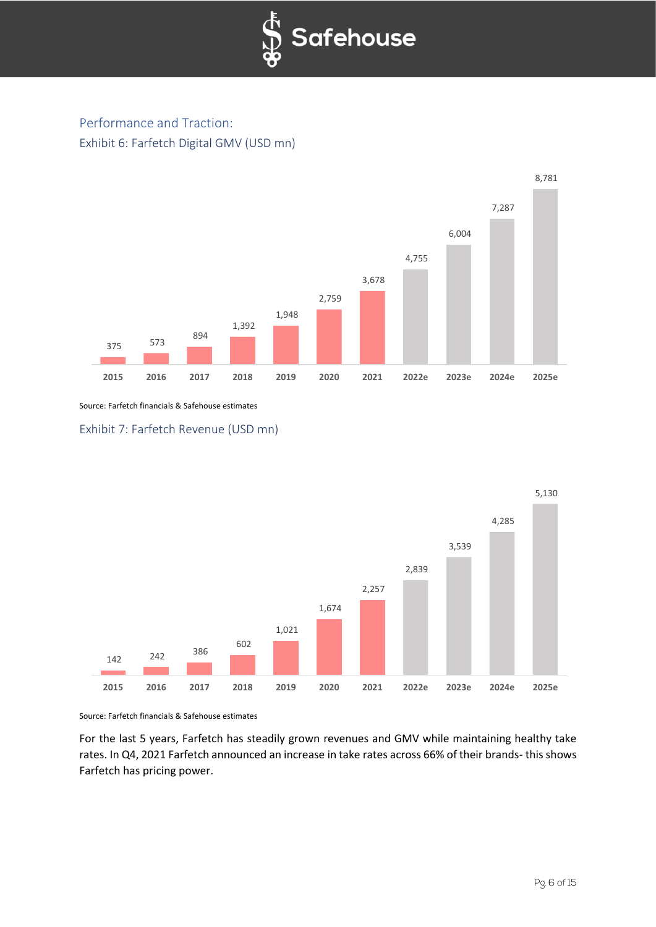

## Performance and Traction: Exhibit 6: Farfetch Digital GMV (USD mn)



Source: Farfetch financials & Safehouse estimates

Exhibit 7: Farfetch Revenue (USD mn)



Source: Farfetch financials & Safehouse estimates

For the last 5 years, Farfetch has steadily grown revenues and GMV while maintaining healthy take rates. In Q4, 2021 Farfetch announced an increase in take rates across 66% of their brands- this shows Farfetch has pricing power.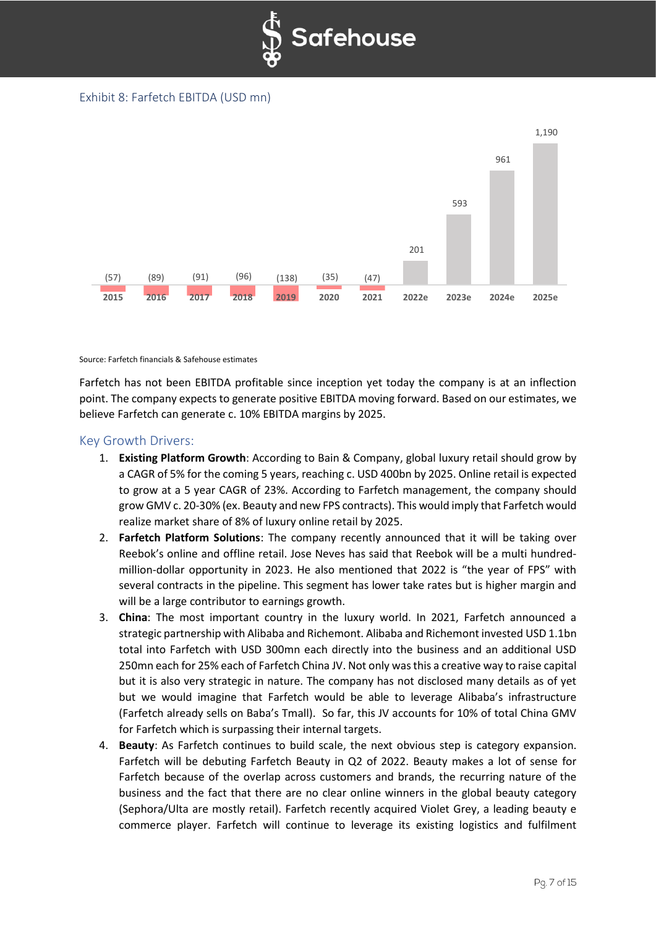

Exhibit 8: Farfetch EBITDA (USD mn)



#### Source: Farfetch financials & Safehouse estimates

Farfetch has not been EBITDA profitable since inception yet today the company is at an inflection point. The company expects to generate positive EBITDA moving forward. Based on our estimates, we believe Farfetch can generate c. 10% EBITDA margins by 2025.

## Key Growth Drivers:

- 1. **Existing Platform Growth**: According to Bain & Company, global luxury retail should grow by a CAGR of 5% for the coming 5 years, reaching c. USD 400bn by 2025. Online retail is expected to grow at a 5 year CAGR of 23%. According to Farfetch management, the company should grow GMV c. 20-30% (ex. Beauty and new FPS contracts). This would imply that Farfetch would realize market share of 8% of luxury online retail by 2025.
- 2. **Farfetch Platform Solutions**: The company recently announced that it will be taking over Reebok's online and offline retail. Jose Neves has said that Reebok will be a multi hundredmillion-dollar opportunity in 2023. He also mentioned that 2022 is "the year of FPS" with several contracts in the pipeline. This segment has lower take rates but is higher margin and will be a large contributor to earnings growth.
- 3. **China**: The most important country in the luxury world. In 2021, Farfetch announced a strategic partnership with Alibaba and Richemont. Alibaba and Richemont invested USD 1.1bn total into Farfetch with USD 300mn each directly into the business and an additional USD 250mn each for 25% each of Farfetch China JV. Not only was this a creative way to raise capital but it is also very strategic in nature. The company has not disclosed many details as of yet but we would imagine that Farfetch would be able to leverage Alibaba's infrastructure (Farfetch already sells on Baba's Tmall). So far, this JV accounts for 10% of total China GMV for Farfetch which is surpassing their internal targets.
- 4. **Beauty**: As Farfetch continues to build scale, the next obvious step is category expansion. Farfetch will be debuting Farfetch Beauty in Q2 of 2022. Beauty makes a lot of sense for Farfetch because of the overlap across customers and brands, the recurring nature of the business and the fact that there are no clear online winners in the global beauty category (Sephora/Ulta are mostly retail). Farfetch recently acquired Violet Grey, a leading beauty e commerce player. Farfetch will continue to leverage its existing logistics and fulfilment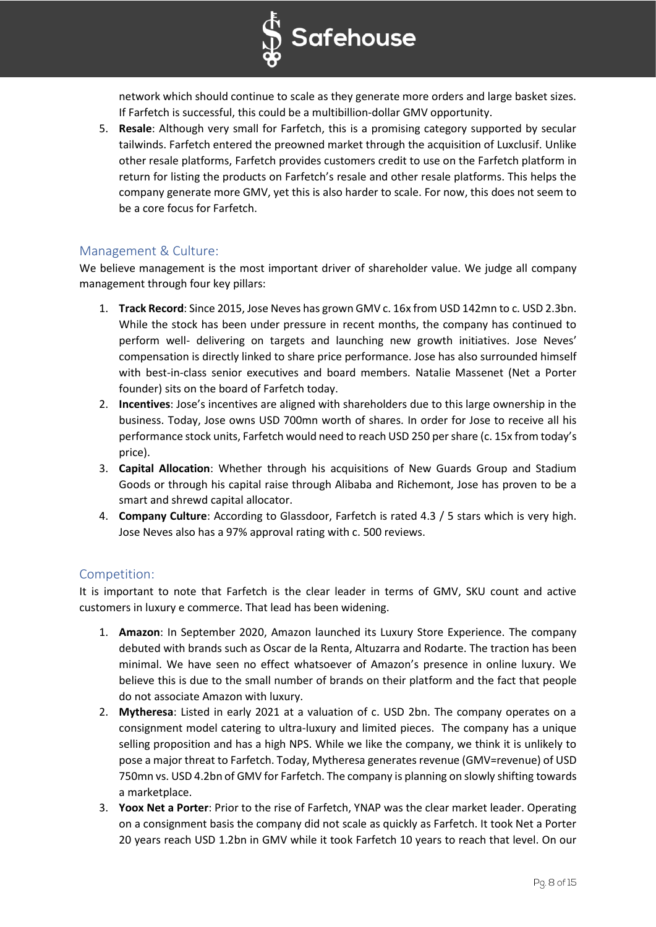

network which should continue to scale as they generate more orders and large basket sizes. If Farfetch is successful, this could be a multibillion-dollar GMV opportunity.

5. **Resale**: Although very small for Farfetch, this is a promising category supported by secular tailwinds. Farfetch entered the preowned market through the acquisition of Luxclusif. Unlike other resale platforms, Farfetch provides customers credit to use on the Farfetch platform in return for listing the products on Farfetch's resale and other resale platforms. This helps the company generate more GMV, yet this is also harder to scale. For now, this does not seem to be a core focus for Farfetch.

## Management & Culture:

We believe management is the most important driver of shareholder value. We judge all company management through four key pillars:

- 1. **Track Record**: Since 2015, Jose Neves has grown GMV c. 16x from USD 142mn to c. USD 2.3bn. While the stock has been under pressure in recent months, the company has continued to perform well- delivering on targets and launching new growth initiatives. Jose Neves' compensation is directly linked to share price performance. Jose has also surrounded himself with best-in-class senior executives and board members. Natalie Massenet (Net a Porter founder) sits on the board of Farfetch today.
- 2. **Incentives**: Jose's incentives are aligned with shareholders due to this large ownership in the business. Today, Jose owns USD 700mn worth of shares. In order for Jose to receive all his performance stock units, Farfetch would need to reach USD 250 per share (c. 15x from today's price).
- 3. **Capital Allocation**: Whether through his acquisitions of New Guards Group and Stadium Goods or through his capital raise through Alibaba and Richemont, Jose has proven to be a smart and shrewd capital allocator.
- 4. **Company Culture**: According to Glassdoor, Farfetch is rated 4.3 / 5 stars which is very high. Jose Neves also has a 97% approval rating with c. 500 reviews.

## Competition:

It is important to note that Farfetch is the clear leader in terms of GMV, SKU count and active customers in luxury e commerce. That lead has been widening.

- 1. **Amazon**: In September 2020, Amazon launched its Luxury Store Experience. The company debuted with brands such as Oscar de la Renta, Altuzarra and Rodarte. The traction has been minimal. We have seen no effect whatsoever of Amazon's presence in online luxury. We believe this is due to the small number of brands on their platform and the fact that people do not associate Amazon with luxury.
- 2. **Mytheresa**: Listed in early 2021 at a valuation of c. USD 2bn. The company operates on a consignment model catering to ultra-luxury and limited pieces. The company has a unique selling proposition and has a high NPS. While we like the company, we think it is unlikely to pose a major threat to Farfetch. Today, Mytheresa generates revenue (GMV=revenue) of USD 750mn vs. USD 4.2bn of GMV for Farfetch. The company is planning on slowly shifting towards a marketplace.
- 3. **Yoox Net a Porter**: Prior to the rise of Farfetch, YNAP was the clear market leader. Operating on a consignment basis the company did not scale as quickly as Farfetch. It took Net a Porter 20 years reach USD 1.2bn in GMV while it took Farfetch 10 years to reach that level. On our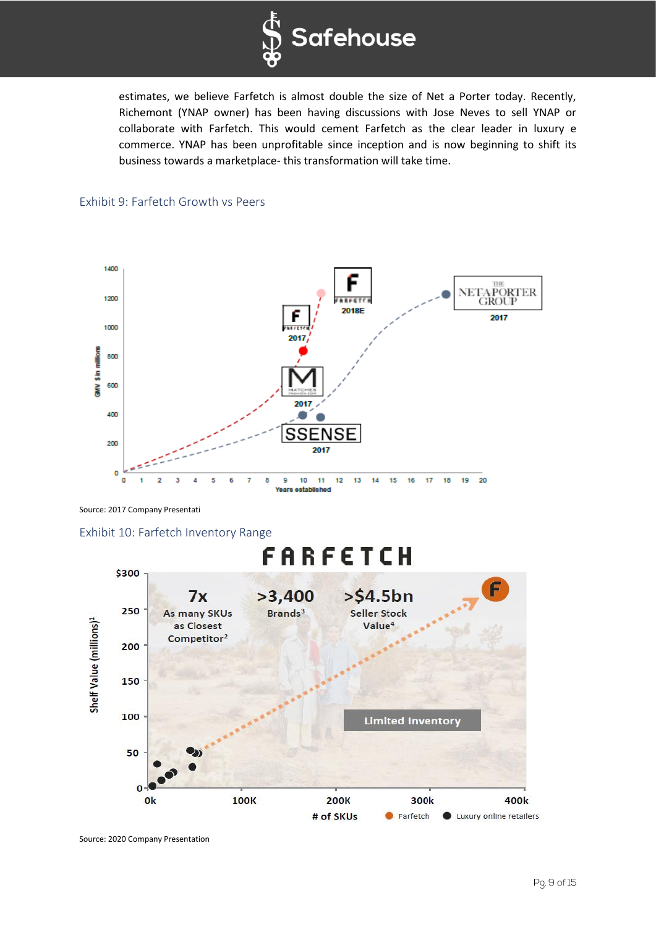

estimates, we believe Farfetch is almost double the size of Net a Porter today. Recently, Richemont (YNAP owner) has been having discussions with Jose Neves to sell YNAP or collaborate with Farfetch. This would cement Farfetch as the clear leader in luxury e commerce. YNAP has been unprofitable since inception and is now beginning to shift its business towards a marketplace- this transformation will take time.



## Exhibit 9: Farfetch Growth vs Peers

Source: 2017 Company Presentati

Exhibit 10: Farfetch Inventory Range

# FARFETCH



Source: 2020 Company Presentation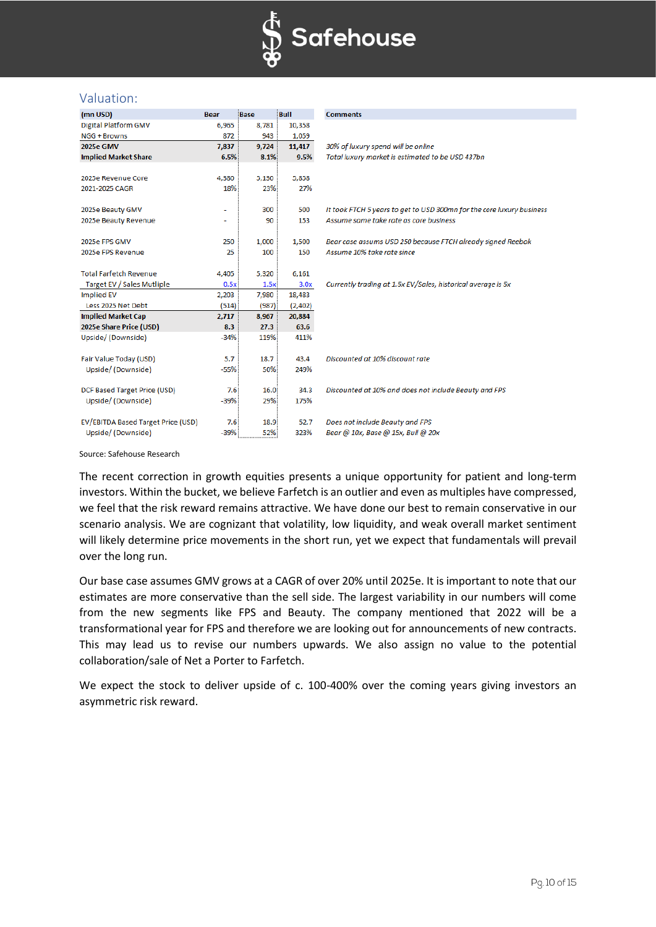

## Valuation:

| (mn USD)                           | <b>Bear</b> | Base  | <b>Bull</b> | <b>Comments</b>                                                       |
|------------------------------------|-------------|-------|-------------|-----------------------------------------------------------------------|
| <b>Digital Platform GMV</b>        | 6,965       | 8,781 | 10,358      |                                                                       |
| NGG + Browns                       | 872         | 943   | 1,059       |                                                                       |
| <b>2025e GMV</b>                   | 7,837       | 9,724 | 11,417      | 30% of luxury spend will be online                                    |
| <b>Implied Market Share</b>        | 6.5%        | 8.1%  | 9.5%        | Total luxury market is estimated to be USD 437bn                      |
|                                    |             |       |             |                                                                       |
| 2025e Revenue Core                 | 4,380       | 5,130 | 5,858       |                                                                       |
| 2021-2025 CAGR                     | 18%         | 23%   | 27%         |                                                                       |
|                                    |             |       |             |                                                                       |
| 2025e Beauty GMV                   | ٠           | 300   | 500         | It took FTCH 5 years to get to USD 300mn for the core luxury business |
| 2025e Beauty Revenue               |             | 90    | 153         | Assume same take rate as core business                                |
|                                    |             |       |             |                                                                       |
| 2025e FPS GMV                      | 250         | 1,000 | 1,500       | Bear case assums USD 250 because FTCH already signed Reebok           |
| 2025e FPS Revenue                  | 25          | 100   | 150         | Assume 10% take rate since                                            |
|                                    |             |       |             |                                                                       |
| <b>Total Farfetch Revenue</b>      | 4,405       | 5,320 | 6,161       |                                                                       |
| Target EV / Sales Mutliple         | 0.5x        | 1.5x  | 3.0x        | Currently trading at 1.5x EV/Sales, historical average is 5x          |
| <b>Implied EV</b>                  | 2,203       | 7,980 | 18,483      |                                                                       |
| Less 2025 Net Debt                 | (514)       | (987) | (2,402)     |                                                                       |
| <b>Implied Market Cap</b>          | 2,717       | 8,967 | 20,884      |                                                                       |
| 2025e Share Price (USD)            | 8.3         | 27.3  | 63.6        |                                                                       |
| Upside/(Downside)                  | $-34%$      | 119%  | 411%        |                                                                       |
|                                    |             |       |             |                                                                       |
| Fair Value Today (USD)             | 5.7         | 18.7  | 43.4        | Discounted at 10% discount rate                                       |
| Upside/(Downside)                  | $-55%$      | 50%   | 249%        |                                                                       |
|                                    |             |       |             |                                                                       |
| DCF Based Target Price (USD)       | 7.6         | 16.0  | 34.3        | Discounted at 10% and does not include Beauty and FPS                 |
| Upside/(Downside)                  | $-39%$      | 29%   | 175%        |                                                                       |
|                                    |             |       |             |                                                                       |
| EV/EBITDA Based Target Price (USD) | 7.6         | 18.9  | 52.7        | Does not include Beauty and FPS                                       |
| Upside/(Downside)                  | $-39%$      | 52%   | 323%        | Bear @ 10x, Base @ 15x, Bull @ 20x                                    |

Source: Safehouse Research

The recent correction in growth equities presents a unique opportunity for patient and long-term investors. Within the bucket, we believe Farfetch is an outlier and even as multiples have compressed, we feel that the risk reward remains attractive. We have done our best to remain conservative in our scenario analysis. We are cognizant that volatility, low liquidity, and weak overall market sentiment will likely determine price movements in the short run, yet we expect that fundamentals will prevail over the long run.

Our base case assumes GMV grows at a CAGR of over 20% until 2025e. It is important to note that our estimates are more conservative than the sell side. The largest variability in our numbers will come from the new segments like FPS and Beauty. The company mentioned that 2022 will be a transformational year for FPS and therefore we are looking out for announcements of new contracts. This may lead us to revise our numbers upwards. We also assign no value to the potential collaboration/sale of Net a Porter to Farfetch.

We expect the stock to deliver upside of c. 100-400% over the coming years giving investors an asymmetric risk reward.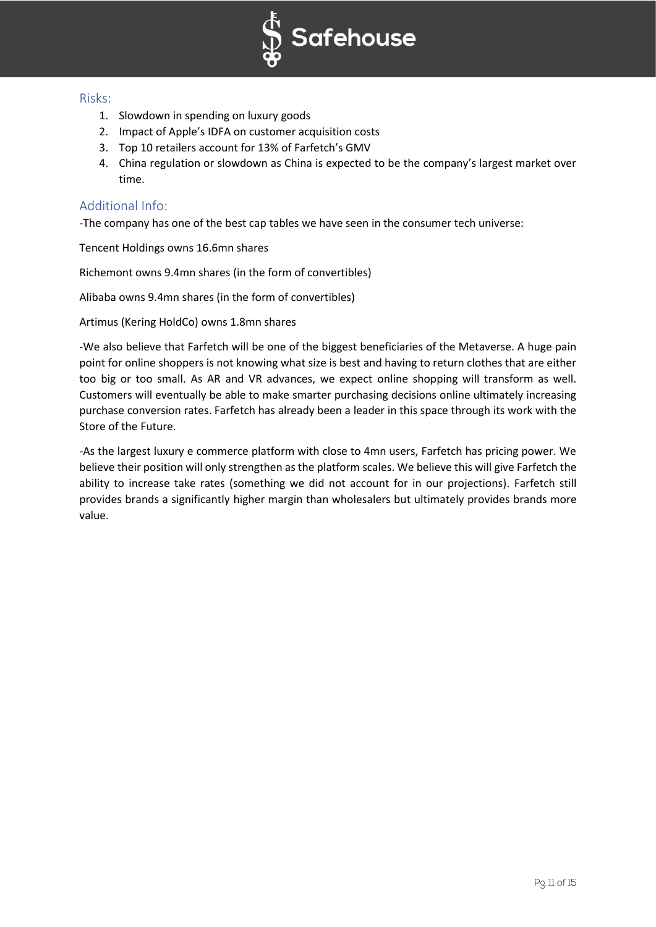

## Risks:

- 1. Slowdown in spending on luxury goods
- 2. Impact of Apple's IDFA on customer acquisition costs
- 3. Top 10 retailers account for 13% of Farfetch's GMV
- 4. China regulation or slowdown as China is expected to be the company's largest market over time.

## Additional Info:

-The company has one of the best cap tables we have seen in the consumer tech universe:

Tencent Holdings owns 16.6mn shares

Richemont owns 9.4mn shares (in the form of convertibles)

Alibaba owns 9.4mn shares (in the form of convertibles)

Artimus (Kering HoldCo) owns 1.8mn shares

-We also believe that Farfetch will be one of the biggest beneficiaries of the Metaverse. A huge pain point for online shoppers is not knowing what size is best and having to return clothes that are either too big or too small. As AR and VR advances, we expect online shopping will transform as well. Customers will eventually be able to make smarter purchasing decisions online ultimately increasing purchase conversion rates. Farfetch has already been a leader in this space through its work with the Store of the Future.

-As the largest luxury e commerce platform with close to 4mn users, Farfetch has pricing power. We believe their position will only strengthen as the platform scales. We believe this will give Farfetch the ability to increase take rates (something we did not account for in our projections). Farfetch still provides brands a significantly higher margin than wholesalers but ultimately provides brands more value.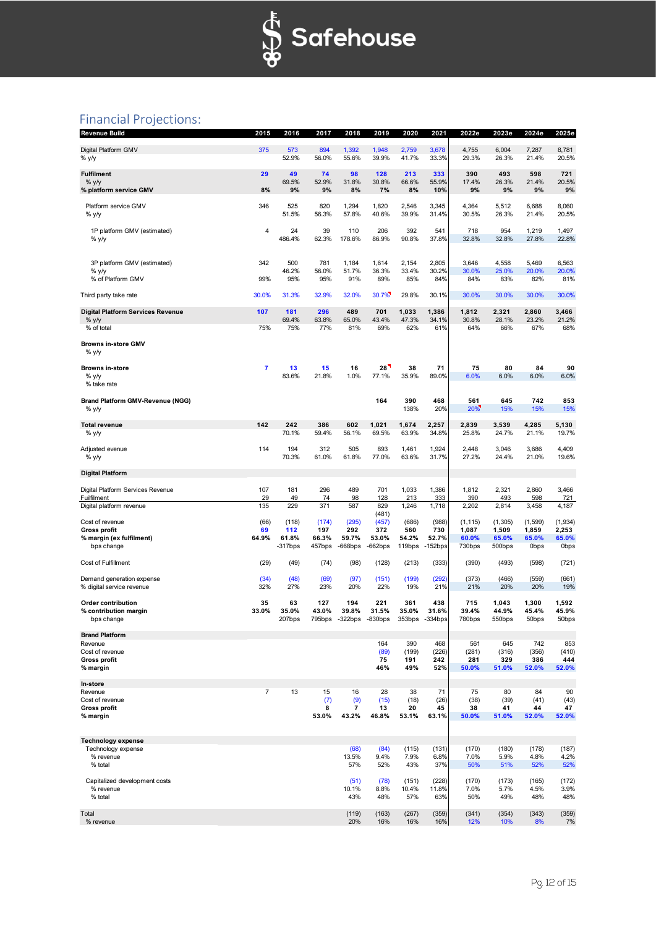

# Financial Projections:

| <b>Revenue Build</b>                                   | 2015           | 2016            | 2017                        | 2018               | 2019                | 2020               | 2021            | 2022e           | 2023e                       | 2024e                        | 2025e                        |
|--------------------------------------------------------|----------------|-----------------|-----------------------------|--------------------|---------------------|--------------------|-----------------|-----------------|-----------------------------|------------------------------|------------------------------|
| Digital Platform GMV<br>% y/y                          | 375            | 573<br>52.9%    | 894<br>56.0%                | 1,392<br>55.6%     | 1,948<br>39.9%      | 2,759<br>41.7%     | 3,678<br>33.3%  | 4,755<br>29.3%  | 6,004<br>26.3%              | 7,287<br>21.4%               | 8,781<br>20.5%               |
| <b>Fulfilment</b>                                      | 29             | 49              | 74                          | 98                 | 128                 | 213                | 333             | 390             | 493                         | 598                          | 721                          |
| % y/y<br>% platform service GMV                        | 8%             | 69.5%<br>9%     | 52.9%<br>9%                 | 31.8%<br>8%        | 30.8%<br>7%         | 66.6%<br>8%        | 55.9%<br>10%    | 17.4%<br>9%     | 26.3%<br>9%                 | 21.4%<br>9%                  | 20.5%<br>9%                  |
| Platform service GMV<br>% y/y                          | 346            | 525<br>51.5%    | 820<br>56.3%                | 1,294<br>57.8%     | 1,820<br>40.6%      | 2,546<br>39.9%     | 3,345<br>31.4%  | 4,364<br>30.5%  | 5,512<br>26.3%              | 6,688<br>21.4%               | 8,060<br>20.5%               |
| 1P platform GMV (estimated)<br>% y/y                   | 4              | 24<br>486.4%    | 39<br>62.3%                 | 110<br>178.6%      | 206<br>86.9%        | 392<br>90.8%       | 541<br>37.8%    | 718<br>32.8%    | 954<br>32.8%                | 1,219<br>27.8%               | 1,497<br>22.8%               |
| 3P platform GMV (estimated)                            | 342            | 500             | 781                         | 1,184              | 1,614               | 2,154              | 2,805           | 3,646           | 4,558                       | 5,469                        | 6,563                        |
| $%$ y/y<br>% of Platform GMV                           | 99%            | 46.2%<br>95%    | 56.0%<br>95%                | 51.7%<br>91%       | 36.3%<br>89%        | 33.4%<br>85%       | 30.2%<br>84%    | 30.0%<br>84%    | 25.0%<br>83%                | 20.0%<br>82%                 | 20.0%<br>81%                 |
| Third party take rate                                  | 30.0%          | 31.3%           | 32.9%                       | 32.0%              | 30.7%               | 29.8%              | 30.1%           | 30.0%           | 30.0%                       | 30.0%                        | 30.0%                        |
| <b>Digital Platform Services Revenue</b><br>% y/y      | 107            | 181<br>69.4%    | 296<br>63.8%                | 489<br>65.0%       | 701<br>43.4%        | 1,033<br>47.3%     | 1,386<br>34.1%  | 1,812<br>30.8%  | 2,321<br>28.1%              | 2,860<br>23.2%               | 3,466<br>21.2%               |
| % of total                                             | 75%            | 75%             | 77%                         | 81%                | 69%                 | 62%                | 61%             | 64%             | 66%                         | 67%                          | 68%                          |
| <b>Browns in-store GMV</b><br>% y/y                    |                |                 |                             |                    |                     |                    |                 |                 |                             |                              |                              |
| <b>Browns in-store</b><br>% y/y<br>% take rate         | 7              | 13<br>83.6%     | 15<br>21.8%                 | 16<br>1.0%         | 28<br>77.1%         | 38<br>35.9%        | 71<br>89.0%     | 75<br>6.0%      | 80<br>6.0%                  | 84<br>6.0%                   | 90<br>6.0%                   |
| <b>Brand Platform GMV-Revenue (NGG)</b><br>% y/y       |                |                 |                             |                    | 164                 | 390<br>138%        | 468<br>20%      | 561<br>20%      | 645<br>15%                  | 742<br>15%                   | 853<br>15%                   |
| <b>Total revenue</b>                                   | 142            | 242             | 386                         | 602                | 1,021               | 1,674              | 2,257           | 2,839           | 3,539                       | 4,285                        | 5,130                        |
| % y/y                                                  |                | 70.1%           | 59.4%                       | 56.1%              | 69.5%               | 63.9%              | 34.8%           | 25.8%           | 24.7%                       | 21.1%                        | 19.7%                        |
| Adjusted evenue<br>% y/y                               | 114            | 194<br>70.3%    | 312<br>61.0%                | 505<br>61.8%       | 893<br>77.0%        | 1,461<br>63.6%     | 1,924<br>31.7%  | 2,448<br>27.2%  | 3,046<br>24.4%              | 3,686<br>21.0%               | 4,409<br>19.6%               |
| <b>Digital Platform</b>                                |                |                 |                             |                    |                     |                    |                 |                 |                             |                              |                              |
| Digital Platform Services Revenue                      | 107            | 181             | 296                         | 489                | 701                 | 1,033              | 1,386           | 1,812           | 2,321                       | 2,860                        | 3,466                        |
| Fuilfilment<br>Digital platform revenue                | 29<br>135      | 49<br>229       | 74<br>371                   | 98<br>587          | 128<br>829          | 213<br>1,246       | 333<br>1,718    | 390<br>2,202    | 493<br>2,814                | 598<br>3,458                 | 721<br>4,187                 |
| Cost of revenue                                        | (66)           | (118)           | (174)                       | (295)              | (481)<br>(457)      | (686)              | (988)           | (1, 115)        | (1, 305)                    | (1,599)                      | (1,934)                      |
| Gross profit                                           | 69<br>64.9%    | 112<br>61.8%    | 197<br>66.3%                | 292<br>59.7%       | 372<br>53.0%        | 560<br>54.2%       | 730<br>52.7%    | 1,087           | 1,509                       | 1,859                        | 2,253                        |
| % margin (ex fulfilment)<br>bps change                 |                | $-317$ bps      | 457bps                      | $-668$ bps         | $-662bps$           | 119bps             | $-152$ bps      | 60.0%<br>730bps | 65.0%<br>500bps             | 65.0%<br>0 <sub>bps</sub>    | 65.0%<br>0bps                |
| Cost of Fulfillment                                    | (29)           | (49)            | (74)                        | (98)               | (128)               | (213)              | (333)           | (390)           | (493)                       | (598)                        | (721)                        |
| Demand generation expense<br>% digital service revenue | (34)<br>32%    | (48)<br>27%     | (69)<br>23%                 | (97)<br>20%        | (151)<br>22%        | (199)<br>19%       | (292)<br>21%    | (373)<br>21%    | (466)<br>20%                | (559)<br>20%                 | (661)<br>19%                 |
| <b>Order contribution</b>                              | 35             | 63              | 127                         | 194                | 221                 | 361                | 438             | 715             | 1,043                       | 1,300                        | 1,592                        |
| % contribution margin<br>bps change                    | 33.0%          | 35.0%<br>207bps | 43.0%<br>795 <sub>bns</sub> | 39.8%<br>$322$ bns | 31.5%<br>$-830$ bps | 35.0%<br>$353$ bps | 31.6%<br>334bps | 39.4%<br>780bps | 44.9%<br>550 <sub>hns</sub> | 45.4%<br>$50$ <sub>bns</sub> | 45.9%<br>$50$ <sub>bns</sub> |
| <b>Brand Platform</b><br>Revenue                       |                |                 |                             |                    | 164                 | 390                | 468             | 561             | 645                         | 742                          | 853                          |
| Cost of revenue                                        |                |                 |                             |                    | (89)                | (199)              | (226)           | (281)           | (316)                       | (356)                        | (410)                        |
| <b>Gross profit</b><br>% margin                        |                |                 |                             |                    | 75<br>46%           | 191<br>49%         | 242<br>52%      | 281<br>50.0%    | 329<br>51.0%                | 386<br>52.0%                 | 444<br>52.0%                 |
| In-store                                               |                |                 |                             |                    |                     |                    |                 |                 |                             |                              |                              |
| Revenue<br>Cost of revenue                             | $\overline{7}$ | 13              | 15<br>(7)                   | 16<br>(9)          | 28<br>(15)          | 38<br>(18)         | 71<br>(26)      | 75<br>(38)      | 80<br>(39)                  | 84<br>(41)                   | 90<br>(43)                   |
| <b>Gross profit</b>                                    |                |                 | 8                           | 7                  | 13                  | 20                 | 45              | 38              | 41                          | 44                           | 47                           |
| % margin                                               |                |                 | 53.0%                       | 43.2%              | 46.8%               | 53.1%              | 63.1%           | 50.0%           | 51.0%                       | 52.0%                        | 52.0%                        |
| <b>Technology expense</b>                              |                |                 |                             |                    |                     |                    |                 |                 |                             |                              |                              |
| Technology expense<br>% revenue                        |                |                 |                             | (68)<br>13.5%      | (84)<br>9.4%        | (115)<br>7.9%      | (131)<br>6.8%   | (170)<br>7.0%   | (180)<br>5.9%               | (178)<br>4.8%                | (187)<br>4.2%                |
| % total                                                |                |                 |                             | 57%                | 52%                 | 43%                | 37%             | 50%             | 51%                         | 52%                          | 52%                          |
| Capitalized development costs                          |                |                 |                             | (51)               | (78)                | (151)              | (228)           | (170)           | (173)                       | (165)                        | (172)                        |
| % revenue<br>% total                                   |                |                 |                             | 10.1%<br>43%       | 8.8%<br>48%         | 10.4%<br>57%       | 11.8%<br>63%    | 7.0%<br>50%     | 5.7%<br>49%                 | 4.5%<br>48%                  | 3.9%<br>48%                  |
| Total<br>% revenue                                     |                |                 |                             | (119)<br>20%       | (163)<br>16%        | (267)<br>16%       | (359)<br>16%    | (341)<br>12%    | (354)<br>10%                | (343)<br>8%                  | (359)<br>7%                  |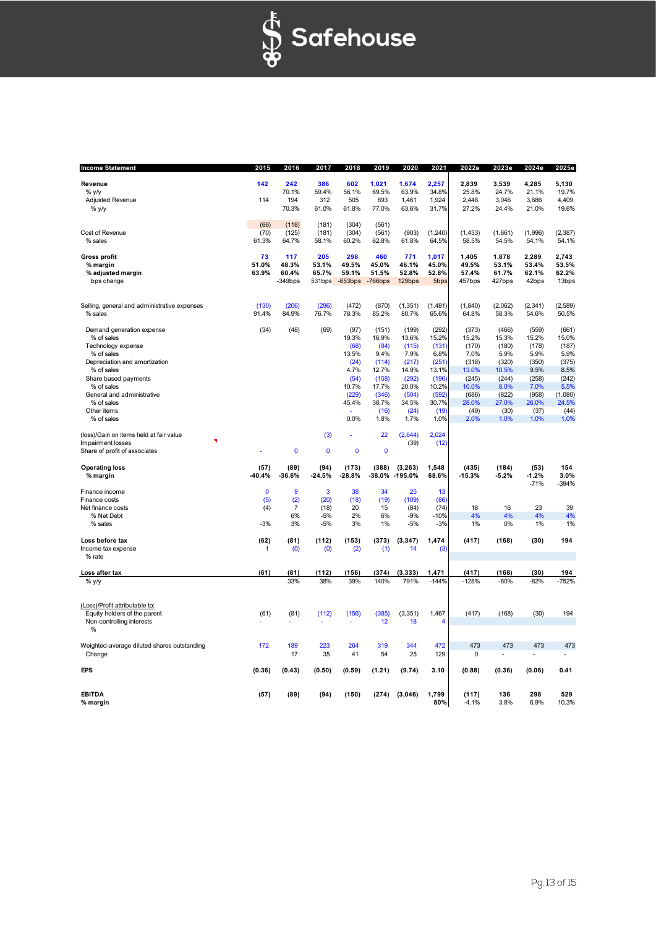

| <b>Income Statement</b>                                   | 2015           | 2016           | 2017           | 2018           | 2019           | 2020              | 2021             | 2022e             | 2023e            | 2024e             | 2025e            |
|-----------------------------------------------------------|----------------|----------------|----------------|----------------|----------------|-------------------|------------------|-------------------|------------------|-------------------|------------------|
| Revenue                                                   | 142            | 242            | 386            | 602            | 1,021          | 1,674             | 2,257            | 2,839             | 3,539            | 4,285             | 5.130            |
| $%$ y/y                                                   |                | 70.1%          | 59.4%          | 56.1%          | 69.5%          | 63.9%             | 34.8%            | 25.8%             | 24.7%            | 21.1%             | 19.7%            |
| <b>Adjusted Revenue</b>                                   | 114            | 194            | 312            | 505            | 893            | 1,461             | 1,924            | 2,448             | 3,046            | 3,686             | 4,409            |
| % y/y                                                     |                | 70.3%          | 61.0%          | 61.8%          | 77.0%          | 63.6%             | 31.7%            | 27.2%             | 24.4%            | 21.0%             | 19.6%            |
|                                                           | (66)           | (118)          | (181)          | (304)          | (561)          |                   |                  |                   |                  |                   |                  |
| Cost of Revenue                                           | (70)           | (125)          | (181)          | (304)          | (561)          | (903)             | (1, 240)         | (1, 433)          | (1,661)          | (1,996)           | (2, 387)         |
| % sales                                                   | 61.3%          | 64.7%          | 58.1%          | 60.2%          | 62.8%          | 61.8%             | 64.5%            | 58.5%             | 54.5%            | 54.1%             | 54.1%            |
| Gross profit                                              | 73             | 117            | 205            | 298            | 460            | 771               | 1,017            | 1,405             | 1,878            | 2,289             | 2,743            |
| % margin                                                  | 51.0%          | 48.3%          | 53.1%          | 49.5%          | 45.0%          | 46.1%             | 45.0%            | 49.5%             | 53.1%            | 53.4%             | 53.5%            |
| % adjusted margin                                         | 63.9%          | 60.4%          | 65.7%          | 59.1%          | 51.5%          | 52.8%             | 52.8%            | 57.4%             | 61.7%            | 62.1%             | 62.2%            |
| bps change                                                |                | $-349$ bps     | 531bps         | $-653bps$      | $-766$ bps     | 129bps            | 5bps             | 457bps            | 427bps           | 42bps             | 13bps            |
|                                                           |                |                |                |                |                |                   |                  |                   |                  |                   |                  |
| Selling, general and administrative expenses<br>% sales   | (130)<br>91.4% | (206)<br>84.9% | (296)<br>76.7% | (472)<br>78.3% | (870)<br>85.2% | (1, 351)<br>80.7% | (1,481)<br>65.6% | (1, 840)<br>64.8% | (2,062)<br>58.3% | (2, 341)<br>54.6% | (2,589)<br>50.5% |
|                                                           |                |                |                |                |                |                   |                  |                   |                  |                   |                  |
| Demand generation expense                                 | (34)           | (48)           | (69)           | (97)           | (151)          | (199)             | (292)            | (373)             | (466)            | (559)             | (661)            |
| % of sales                                                |                |                |                | 19.3%          | 16.9%          | 13.6%             | 15.2%            | 15.2%             | 15.3%            | 15.2%             | 15.0%            |
| Technology expense                                        |                |                |                | (68)           | (84)           | (115)             | (131)            | (170)             | (180)            | (178)             | (187)            |
| % of sales                                                |                |                |                | 13.5%          | 9.4%           | 7.9%              | 6.8%             | 7.0%              | 5.9%             | 5.9%              | 5.9%             |
| Depreciation and amortization                             |                |                |                | (24)           | (114)          | (217)             | (251)            | (318)             | (320)            | (350)             | (375)            |
| % of sales<br>Share based payments                        |                |                |                | 4.7%           | 12.7%<br>(158) | 14.9%             | 13.1%<br>(196)   | 13.0%<br>(245)    | 10.5%<br>(244)   | 9.5%              | 8.5%             |
| % of sales                                                |                |                |                | (54)<br>10.7%  | 17.7%          | (292)<br>20.0%    | 10.2%            | 10.0%             | 8.0%             | (258)<br>7.0%     | (242)<br>5.5%    |
| General and administrative                                |                |                |                | (229)          | (346)          | (504)             | (592)            | (686)             | (822)            | (958)             | (1,080)          |
| % of sales                                                |                |                |                | 45.4%          | 38.7%          | 34.5%             | 30.7%            | 28.0%             | 27.0%            | 26.0%             | 24.5%            |
| Other items                                               |                |                |                |                | (16)           | (24)              | (19)             | (49)              | (30)             | (37)              | (44)             |
| % of sales                                                |                |                |                | 0.0%           | 1.8%           | 1.7%              | 1.0%             | 2.0%              | 1.0%             | 1.0%              | 1.0%             |
| (loss)/Gain on items held at fair value                   |                |                | (3)            | ä,             | 22             | (2,644)           | 2,024            |                   |                  |                   |                  |
| Impairment losses                                         |                |                |                |                |                | (39)              | (12)             |                   |                  |                   |                  |
| Share of profit of associates                             |                | $\mathbf 0$    | $\mathbf{0}$   | $\mathbf 0$    | $\mathbf 0$    |                   |                  |                   |                  |                   |                  |
| <b>Operating loss</b>                                     | (57)           | (89)           | (94)           | (173)          | (388)          | (3,263)           | 1,548            | (435)             | (184)            | (53)              | 154              |
| % margin                                                  | $-40.4%$       | $-36.6%$       | $-24.5%$       | $-28.8%$       | $-38.0%$       | $-195.0%$         | 68.6%            | $-15.3%$          | $-5.2%$          | $-1.2%$<br>$-71%$ | 3.0%<br>-394%    |
| Finance income                                            | $\mathbf{0}$   | 9              | 3              | 38             | 34             | 25                | 13               |                   |                  |                   |                  |
| Finance costs                                             | (5)            | (2)            | (20)           | (18)           | (19)           | (109)             | (86)             |                   |                  |                   |                  |
| Net finance costs                                         | (4)            | $\overline{7}$ | (18)           | 20             | 15             | (84)              | (74)             | 18                | 16               | 23                | 39               |
| % Net Debt                                                |                | 6%             | $-5%$          | 2%             | 6%             | $-9%$             | $-10%$           | 4%                | 4%               | 4%                | 4%               |
| % sales                                                   | $-3%$          | 3%             | $-5%$          | 3%             | 1%             | $-5%$             | $-3%$            | 1%                | 0%               | 1%                | 1%               |
| Loss before tax                                           | (62)           | (81)           | (112)          | (153)          | (373)          | (3, 347)          | 1,474            | (417)             | (168)            | (30)              | 194              |
| Income tax expense<br>% rate                              | 1              | (0)            | (0)            | (2)            | (1)            | 14                | (3)              |                   |                  |                   |                  |
|                                                           |                |                |                |                |                |                   |                  |                   |                  |                   |                  |
| Loss after tax                                            | (61)           | (81)           | (112)          | (156)          | (374)          | (3,333)           | 1,471            | (417)             | (168)            | (30)              | 194              |
| % y/y                                                     |                | 33%            | 38%            | 39%            | 140%           | 791%              | $-144%$          | $-128%$           | $-60%$           | $-82%$            | $-752%$          |
|                                                           |                |                |                |                |                |                   |                  |                   |                  |                   |                  |
| (Loss)/Profit attributable to:                            |                |                |                |                | (385)          |                   | 1,467            |                   |                  |                   | 194              |
| Equity holders of the parent<br>Non-controlling interests | (61)           | (81)           | (112)          | (156)          | 12             | (3, 351)<br>18    | 4                | (417)             | (168)            | (30)              |                  |
| %                                                         |                |                |                |                |                |                   |                  |                   |                  |                   |                  |
| Weighted-average diluted shares outstanding               | 172            | 189            | 223            | 264            | 319            | 344               | 472              | 473               | 473              | 473               | 473              |
| Change                                                    |                | 17             | 35             | 41             | 54             | 25                | 129              | $\mathbf 0$       |                  |                   |                  |
| <b>EPS</b>                                                | (0.36)         | (0.43)         | (0.50)         | (0.59)         | (1.21)         | (9.74)            | 3.10             | (0.88)            | (0.36)           | (0.06)            | 0.41             |
|                                                           |                |                |                |                |                |                   |                  |                   |                  |                   |                  |
| <b>EBITDA</b>                                             | (57)           | (89)           | (94)           | (150)          | (274)          | (3,046)           | 1,799            | (117)             | 136              | 298               | 529              |
| % margin                                                  |                |                |                |                |                |                   | 80%              | $-4.1%$           | 3.8%             | 6.9%              | 10.3%            |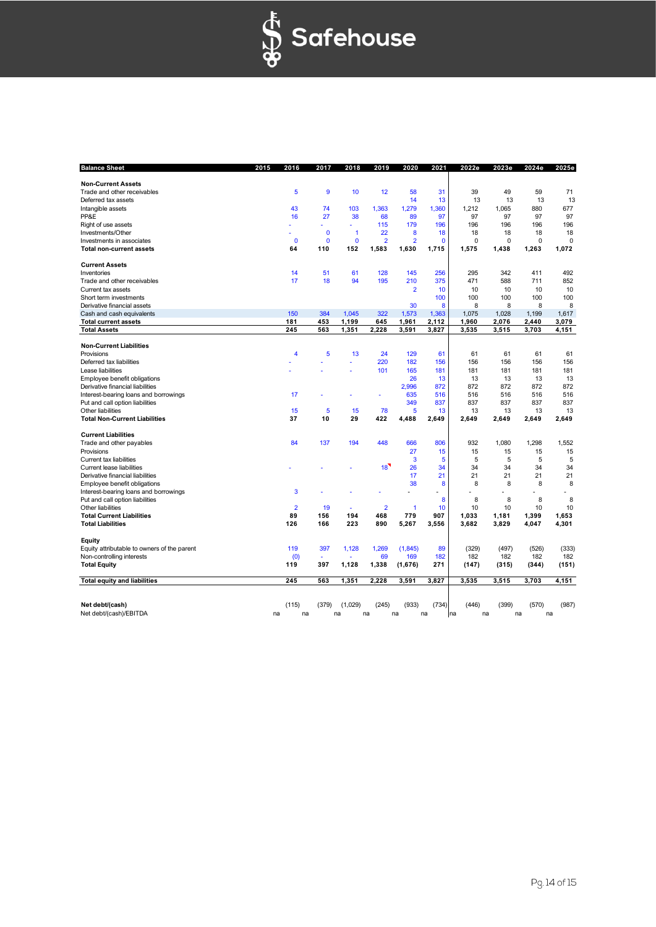

| <b>Balance Sheet</b>                        | 2015 | 2016           | 2017        | 2018         | 2019           | 2020           | 2021         | 2022e | 2023e       | 2024e | 2025e    |
|---------------------------------------------|------|----------------|-------------|--------------|----------------|----------------|--------------|-------|-------------|-------|----------|
| <b>Non-Current Assets</b>                   |      |                |             |              |                |                |              |       |             |       |          |
| Trade and other receivables                 |      | 5              | 9           | 10           | 12             | 58             | 31           | 39    | 49          | 59    | 71       |
| Deferred tax assets                         |      |                |             |              |                | 14             | 13           | 13    | 13          | 13    | 13       |
| Intangible assets                           |      | 43             | 74          | 103          | 1,363          | 1,279          | 1.360        | 1,212 | 1.065       | 880   | 677      |
| PP&E                                        |      | 16             | 27          | 38           | 68             | 89             | 97           | 97    | 97          | 97    | 97       |
| Right of use assets                         |      |                |             |              | 115            | 179            | 196          | 196   | 196         | 196   | 196      |
| Investments/Other                           |      |                | $\mathbf 0$ | $\mathbf{1}$ | 22             | 8              | 18           | 18    | 18          | 18    | 18       |
| Investments in associates                   |      | $\mathbf{0}$   | $\mathbf 0$ | $\mathbf{0}$ | $\overline{2}$ | $\overline{2}$ | $\mathbf{0}$ | 0     | $\mathbf 0$ | 0     | $\Omega$ |
| <b>Total non-current assets</b>             |      | 64             | 110         | 152          | 1,583          | 1,630          | 1.715        | 1.575 | 1.438       | 1,263 | 1,072    |
| <b>Current Assets</b>                       |      |                |             |              |                |                |              |       |             |       |          |
| Inventories                                 |      | 14             | 51          | 61           | 128            | 145            | 256          | 295   | 342         | 411   | 492      |
| Trade and other receivables                 |      | 17             | 18          | 94           | 195            | 210            | 375          | 471   | 588         | 711   | 852      |
| Current tax assets                          |      |                |             |              |                | $\overline{2}$ | 10           | 10    | 10          | 10    | 10       |
| Short term investments                      |      |                |             |              |                |                | 100          | 100   | 100         | 100   | 100      |
| Derivative financial assets                 |      |                |             |              |                | 30             | 8            | 8     | 8           | 8     | 8        |
| Cash and cash equivalents                   |      | 150            | 384         | 1,045        | 322            | 1,573          | 1,363        | 1,075 | 1,028       | 1,199 | 1,617    |
| <b>Total current assets</b>                 |      | 181            | 453         | 1,199        | 645            | 1,961          | 2,112        | 1,960 | 2,076       | 2,440 | 3,079    |
| <b>Total Assets</b>                         |      | 245            | 563         | 1,351        | 2.228          | 3,591          | 3,827        | 3,535 | 3,515       | 3,703 | 4,151    |
| <b>Non-Current Liabilities</b>              |      |                |             |              |                |                |              |       |             |       |          |
| Provisions                                  |      | 4              | 5           | 13           | 24             | 129            | 61           | 61    | 61          | 61    | 61       |
| Deferred tax liabilities                    |      |                |             |              | 220            | 182            | 156          | 156   | 156         | 156   | 156      |
| Lease liabilities                           |      |                |             |              | 101            | 165            | 181          | 181   | 181         | 181   | 181      |
| Employee benefit obligations                |      |                |             |              |                | 26             | 13           | 13    | 13          | 13    | 13       |
| Derivative financial liabilities            |      |                |             |              |                | 2.996          | 872          | 872   | 872         | 872   | 872      |
| Interest-bearing loans and borrowings       |      | 17             |             |              |                | 635            | 516          | 516   | 516         | 516   | 516      |
| Put and call option liabilities             |      |                |             |              |                | 349            | 837          | 837   | 837         | 837   | 837      |
| Other liabilities                           |      | 15             | 5           | 15           | 78             | 5              | 13           | 13    | 13          | 13    | 13       |
| <b>Total Non-Current Liabilities</b>        |      | 37             | 10          | 29           | 422            | 4,488          | 2,649        | 2,649 | 2,649       | 2,649 | 2,649    |
| <b>Current Liabilities</b>                  |      |                |             |              |                |                |              |       |             |       |          |
| Trade and other payables                    |      | 84             | 137         | 194          | 448            | 666            | 806          | 932   | 1,080       | 1,298 | 1,552    |
| Provisions                                  |      |                |             |              |                | 27             | 15           | 15    | 15          | 15    | 15       |
| Current tax liabilities                     |      |                |             |              |                | 3              | 5            | 5     | 5           | 5     | 5        |
| Current lease liabilities                   |      |                |             |              | 18             | 26             | 34           | 34    | 34          | 34    | 34       |
| Derivative financial liabilities            |      |                |             |              |                | 17             | 21           | 21    | 21          | 21    | 21       |
| Employee benefit obligations                |      |                |             |              |                | 38             | 8            | 8     | 8           | 8     | 8        |
| Interest-bearing loans and borrowings       |      | 3              |             |              |                |                |              |       |             |       |          |
| Put and call option liabilities             |      |                |             |              |                |                | 8            | 8     | 8           | 8     | 8        |
| Other liabilities                           |      | $\overline{2}$ | 19          |              | $\overline{2}$ | $\mathbf{1}$   | 10           | 10    | 10          | 10    | 10       |
| <b>Total Current Liabilities</b>            |      | 89             | 156         | 194          | 468            | 779            | 907          | 1.033 | 1,181       | 1,399 | 1.653    |
| <b>Total Liabilities</b>                    |      | 126            | 166         | 223          | 890            | 5,267          | 3,556        | 3,682 | 3,829       | 4,047 | 4,301    |
| Equity                                      |      |                |             |              |                |                |              |       |             |       |          |
| Equity attributable to owners of the parent |      | 119            | 397         | 1,128        | 1,269          | (1,845)        | 89           | (329) | (497)       | (526) | (333)    |
| Non-controlling interests                   |      | (0)            |             |              | 69             | 169            | 182          | 182   | 182         | 182   | 182      |
| <b>Total Equity</b>                         |      | 119            | 397         | 1,128        | 1,338          | (1,676)        | 271          | (147) | (315)       | (344) | (151)    |
| <b>Total equity and liabilities</b>         |      | 245            | 563         | 1,351        | 2,228          | 3,591          | 3,827        | 3,535 | 3,515       | 3,703 | 4,151    |
|                                             |      |                |             |              |                |                |              |       |             |       |          |
| Net debt/(cash)                             |      | (115)          | (379)       | (1,029)      | (245)          | (933)          | (734)        | (446) | (399)       | (570) | (987)    |
| Net debt/(cash)/EBITDA                      | na   | na             |             | na           | na             | na             | na           | na    | na          | na    | na       |